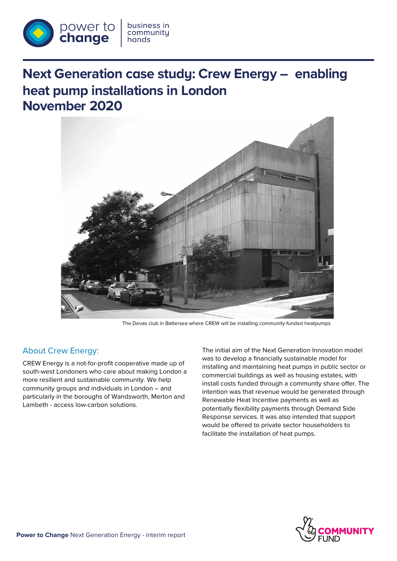

# **Next Generation case study: Crew Energy – enabling heat pump installations in London November 2020**



The Devas club in Battersea where CREW will be installing community-funded heatpumps

## About Crew Energy:

CREW Energy is a not-for-profit cooperative made up of south-west Londoners who care about making London a more resilient and sustainable community. We help community groups and individuals in London – and particularly in the boroughs of Wandsworth, Merton and Lambeth - access low-carbon solutions.

The initial aim of the Next Generation Innovation model was to develop a financially sustainable model for installing and maintaining heat pumps in public sector or commercial buildings as well as housing estates, with install costs funded through a community share offer. The intention was that revenue would be generated through Renewable Heat Incentive payments as well as potentially flexibility payments through Demand Side Response services. It was also intended that support would be offered to private sector householders to facilitate the installation of heat pumps.

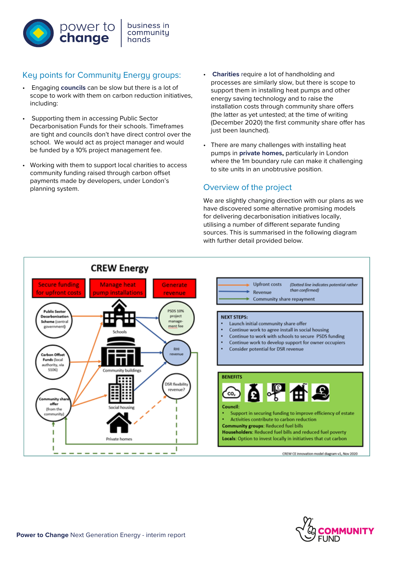

# Key points for Community Energy groups: • **Charities** require a lot of handholding and

- Engaging **councils** can be slow but there is a lot of scope to work with them on carbon reduction initiatives, including:
- Supporting them in accessing Public Sector Decarbonisation Funds for their schools. Timeframes are tight and councils don't have direct control over the school. We would act as project manager and would be funded by a 10% project management fee.
- Working with them to support local charities to access community funding raised through carbon offset payments made by developers, under London's planning system.
- processes are similarly slow, but there is scope to support them in installing heat pumps and other energy saving technology and to raise the installation costs through community share offers (the latter as yet untested; at the time of writing (December 2020) the first community share offer has just been launched).
- There are many challenges with installing heat pumps in **private homes,** particularly in London where the 1m boundary rule can make it challenging to site units in an unobtrusive position.

## Overview of the project

We are slightly changing direction with our plans as we have discovered some alternative promising models for delivering decarbonisation initiatives locally, utilising a number of different separate funding sources. This is summarised in the following diagram with further detail provided below.



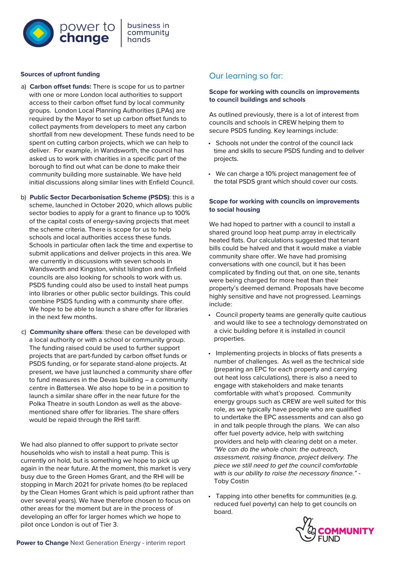

#### **Sources of upfront funding**

- a) **Carbon offset funds:** There is scope for us to partner with one or more London local authorities to support access to their carbon offset fund by local community groups. London Local Planning Authorities (LPAs) are required by the Mayor to set up carbon offset funds to collect payments from developers to meet any carbon shortfall from new development. These funds need to be spent on cutting carbon projects, which we can help to deliver. For example, in Wandsworth, the council has asked us to work with charities in a specific part of the borough to find out what can be done to make their community building more sustainable. We have held initial discussions along similar lines with Enfield Council.
- b) **Public Sector Decarbonisation Scheme (PSDS)**: this is a scheme, launched in October 2020, which allows public sector bodies to apply for a grant to finance up to 100% of the capital costs of energy-saving projects that meet the scheme criteria. There is scope for us to help schools and local authorities access these funds. Schools in particular often lack the time and expertise to submit applications and deliver projects in this area. We are currently in discussions with seven schools in Wandsworth and Kingston, whilst Islington and Enfield councils are also looking for schools to work with us. PSDS funding could also be used to install heat pumps into libraries or other public sector buildings. This could combine PSDS funding with a community share offer. We hope to be able to launch a share offer for libraries in the next few months.
- c) **Community share offers**: these can be developed with a local authority or with a school or community group. The funding raised could be used to further support projects that are part-funded by carbon offset funds or PSDS funding, or for separate stand-alone projects. At present, we have just launched a community share offer to fund measures in the Devas building – a community centre in Battersea. We also hope to be in a position to launch a similar share offer in the near future for the Polka Theatre in south London as well as the abovementioned share offer for libraries. The share offers would be repaid through the RHI tariff.

We had also planned to offer support to private sector households who wish to install a heat pump. This is currently on hold, but is something we hope to pick up again in the near future. At the moment, this market is very busy due to the Green Homes Grant, and the RHI will be stopping in March 2021 for private homes (to be replaced by the Clean Homes Grant which is paid upfront rather than over several years). We have therefore chosen to focus on other areas for the moment but are in the process of developing an offer for larger homes which we hope to pilot once London is out of Tier 3.

## Our learning so far:

#### **Scope for working with councils on improvements to council buildings and schools**

As outlined previously, there is a lot of interest from councils and schools in CREW helping them to secure PSDS funding. Key learnings include:

- Schools not under the control of the council lack time and skills to secure PSDS funding and to deliver projects.
- We can charge a 10% project management fee of the total PSDS grant which should cover our costs.

#### **Scope for working with councils on improvements to social housing**

We had hoped to partner with a council to install a shared ground loop heat pump array in electrically heated flats. Our calculations suggested that tenant bills could be halved and that it would make a viable community share offer. We have had promising conversations with one council, but it has been complicated by finding out that, on one site, tenants were being charged for more heat than their property's deemed demand. Proposals have become highly sensitive and have not progressed. Learnings include:

- Council property teams are generally quite cautious and would like to see a technology demonstrated on a civic building before it is installed in council properties.
- Implementing projects in blocks of flats presents a number of challenges. As well as the technical side (preparing an EPC for each property and carrying out heat loss calculations), there is also a need to engage with stakeholders and make tenants comfortable with what's proposed. Community energy groups such as CREW are well suited for this role, as we typically have people who are qualified to undertake the EPC assessments and can also go in and talk people through the plans. We can also offer fuel poverty advice, help with switching providers and help with clearing debt on a meter. "We can do the whole chain: the outreach, assessment, raising finance, project delivery. The piece we still need to get the council comfortable with is our ability to raise the necessary finance." -Toby Costin
- Tapping into other benefits for communities (e.g. reduced fuel poverty) can help to get councils on board.